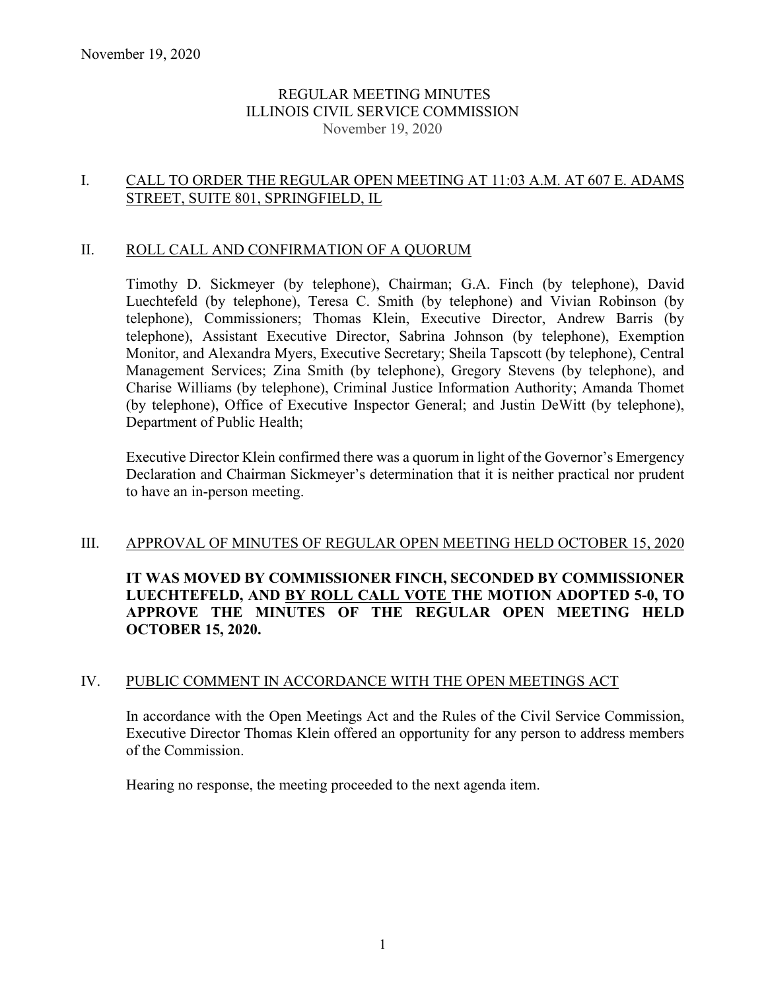## REGULAR MEETING MINUTES ILLINOIS CIVIL SERVICE COMMISSION November 19, 2020

# I. CALL TO ORDER THE REGULAR OPEN MEETING AT 11:03 A.M. AT 607 E. ADAMS STREET, SUITE 801, SPRINGFIELD, IL

#### II. ROLL CALL AND CONFIRMATION OF A QUORUM

Timothy D. Sickmeyer (by telephone), Chairman; G.A. Finch (by telephone), David Luechtefeld (by telephone), Teresa C. Smith (by telephone) and Vivian Robinson (by telephone), Commissioners; Thomas Klein, Executive Director, Andrew Barris (by telephone), Assistant Executive Director, Sabrina Johnson (by telephone), Exemption Monitor, and Alexandra Myers, Executive Secretary; Sheila Tapscott (by telephone), Central Management Services; Zina Smith (by telephone), Gregory Stevens (by telephone), and Charise Williams (by telephone), Criminal Justice Information Authority; Amanda Thomet (by telephone), Office of Executive Inspector General; and Justin DeWitt (by telephone), Department of Public Health;

Executive Director Klein confirmed there was a quorum in light of the Governor's Emergency Declaration and Chairman Sickmeyer's determination that it is neither practical nor prudent to have an in-person meeting.

#### III. APPROVAL OF MINUTES OF REGULAR OPEN MEETING HELD OCTOBER 15, 2020

**IT WAS MOVED BY COMMISSIONER FINCH, SECONDED BY COMMISSIONER LUECHTEFELD, AND BY ROLL CALL VOTE THE MOTION ADOPTED 5-0, TO APPROVE THE MINUTES OF THE REGULAR OPEN MEETING HELD OCTOBER 15, 2020.** 

## IV. PUBLIC COMMENT IN ACCORDANCE WITH THE OPEN MEETINGS ACT

In accordance with the Open Meetings Act and the Rules of the Civil Service Commission, Executive Director Thomas Klein offered an opportunity for any person to address members of the Commission.

Hearing no response, the meeting proceeded to the next agenda item.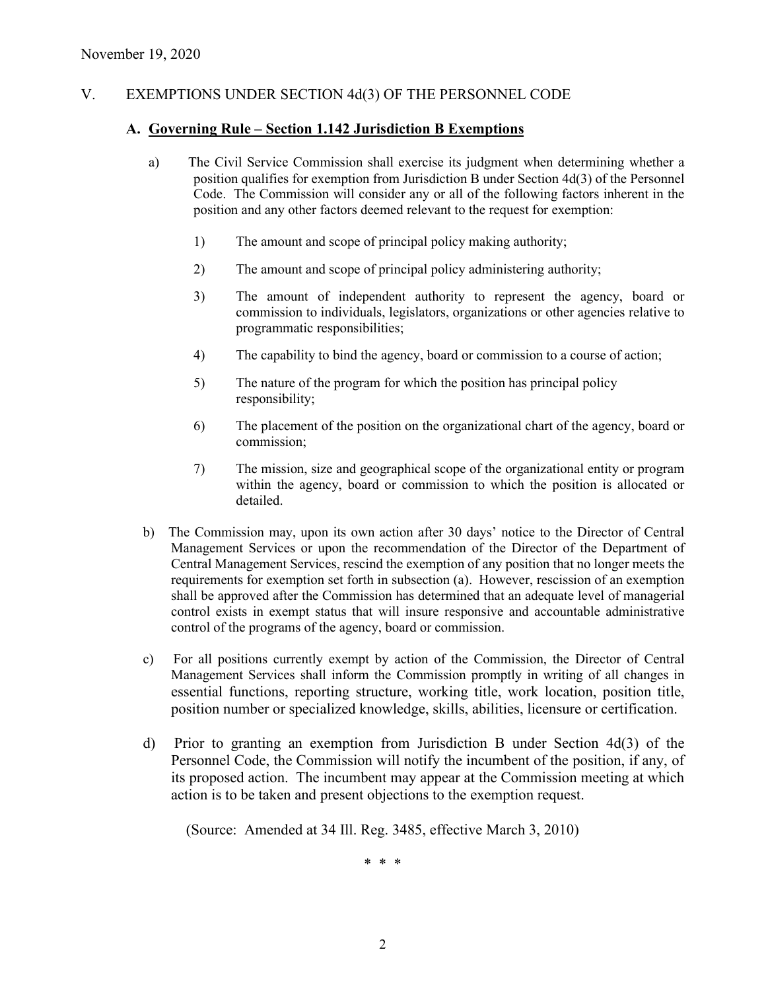# V. EXEMPTIONS UNDER SECTION 4d(3) OF THE PERSONNEL CODE

#### **A. Governing Rule – Section 1.142 Jurisdiction B Exemptions**

- a) The Civil Service Commission shall exercise its judgment when determining whether a position qualifies for exemption from Jurisdiction B under Section 4d(3) of the Personnel Code. The Commission will consider any or all of the following factors inherent in the position and any other factors deemed relevant to the request for exemption:
	- 1) The amount and scope of principal policy making authority;
	- 2) The amount and scope of principal policy administering authority;
	- 3) The amount of independent authority to represent the agency, board or commission to individuals, legislators, organizations or other agencies relative to programmatic responsibilities;
	- 4) The capability to bind the agency, board or commission to a course of action;
	- 5) The nature of the program for which the position has principal policy responsibility;
	- 6) The placement of the position on the organizational chart of the agency, board or commission;
	- 7) The mission, size and geographical scope of the organizational entity or program within the agency, board or commission to which the position is allocated or detailed.
- b) The Commission may, upon its own action after 30 days' notice to the Director of Central Management Services or upon the recommendation of the Director of the Department of Central Management Services, rescind the exemption of any position that no longer meets the requirements for exemption set forth in subsection (a). However, rescission of an exemption shall be approved after the Commission has determined that an adequate level of managerial control exists in exempt status that will insure responsive and accountable administrative control of the programs of the agency, board or commission.
- c) For all positions currently exempt by action of the Commission, the Director of Central Management Services shall inform the Commission promptly in writing of all changes in essential functions, reporting structure, working title, work location, position title, position number or specialized knowledge, skills, abilities, licensure or certification.
- d) Prior to granting an exemption from Jurisdiction B under Section 4d(3) of the Personnel Code, the Commission will notify the incumbent of the position, if any, of its proposed action. The incumbent may appear at the Commission meeting at which action is to be taken and present objections to the exemption request.

(Source: Amended at 34 Ill. Reg. 3485, effective March 3, 2010)

\* \* \*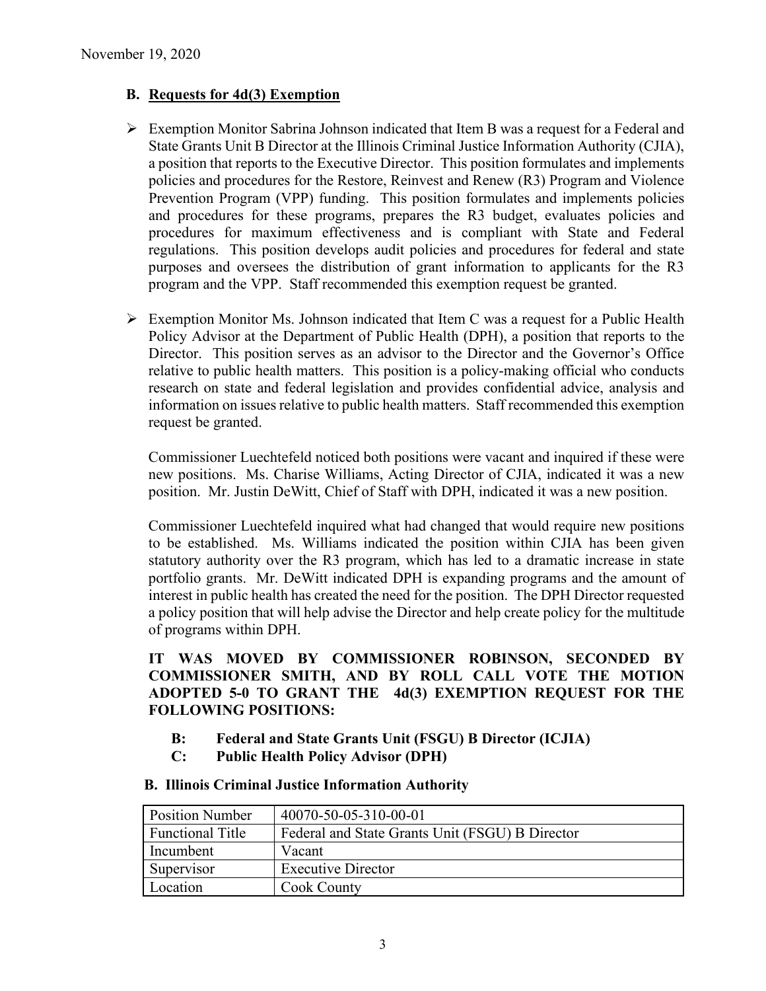# **B. Requests for 4d(3) Exemption**

- $\triangleright$  Exemption Monitor Sabrina Johnson indicated that Item B was a request for a Federal and State Grants Unit B Director at the Illinois Criminal Justice Information Authority (CJIA), a position that reports to the Executive Director. This position formulates and implements policies and procedures for the Restore, Reinvest and Renew (R3) Program and Violence Prevention Program (VPP) funding. This position formulates and implements policies and procedures for these programs, prepares the R3 budget, evaluates policies and procedures for maximum effectiveness and is compliant with State and Federal regulations. This position develops audit policies and procedures for federal and state purposes and oversees the distribution of grant information to applicants for the R3 program and the VPP. Staff recommended this exemption request be granted.
- $\triangleright$  Exemption Monitor Ms. Johnson indicated that Item C was a request for a Public Health Policy Advisor at the Department of Public Health (DPH), a position that reports to the Director. This position serves as an advisor to the Director and the Governor's Office relative to public health matters. This position is a policy-making official who conducts research on state and federal legislation and provides confidential advice, analysis and information on issues relative to public health matters. Staff recommended this exemption request be granted.

Commissioner Luechtefeld noticed both positions were vacant and inquired if these were new positions. Ms. Charise Williams, Acting Director of CJIA, indicated it was a new position. Mr. Justin DeWitt, Chief of Staff with DPH, indicated it was a new position.

Commissioner Luechtefeld inquired what had changed that would require new positions to be established. Ms. Williams indicated the position within CJIA has been given statutory authority over the R3 program, which has led to a dramatic increase in state portfolio grants. Mr. DeWitt indicated DPH is expanding programs and the amount of interest in public health has created the need for the position. The DPH Director requested a policy position that will help advise the Director and help create policy for the multitude of programs within DPH.

**IT WAS MOVED BY COMMISSIONER ROBINSON, SECONDED BY COMMISSIONER SMITH, AND BY ROLL CALL VOTE THE MOTION ADOPTED 5-0 TO GRANT THE 4d(3) EXEMPTION REQUEST FOR THE FOLLOWING POSITIONS:**

- **B: Federal and State Grants Unit (FSGU) B Director (ICJIA)**
- **C: Public Health Policy Advisor (DPH)**

| <b>Position Number</b>  | 40070-50-05-310-00-01                           |
|-------------------------|-------------------------------------------------|
| <b>Functional Title</b> | Federal and State Grants Unit (FSGU) B Director |
| Incumbent               | Vacant                                          |
| Supervisor              | <b>Executive Director</b>                       |
| Location                | <b>Cook County</b>                              |

#### **B. Illinois Criminal Justice Information Authority**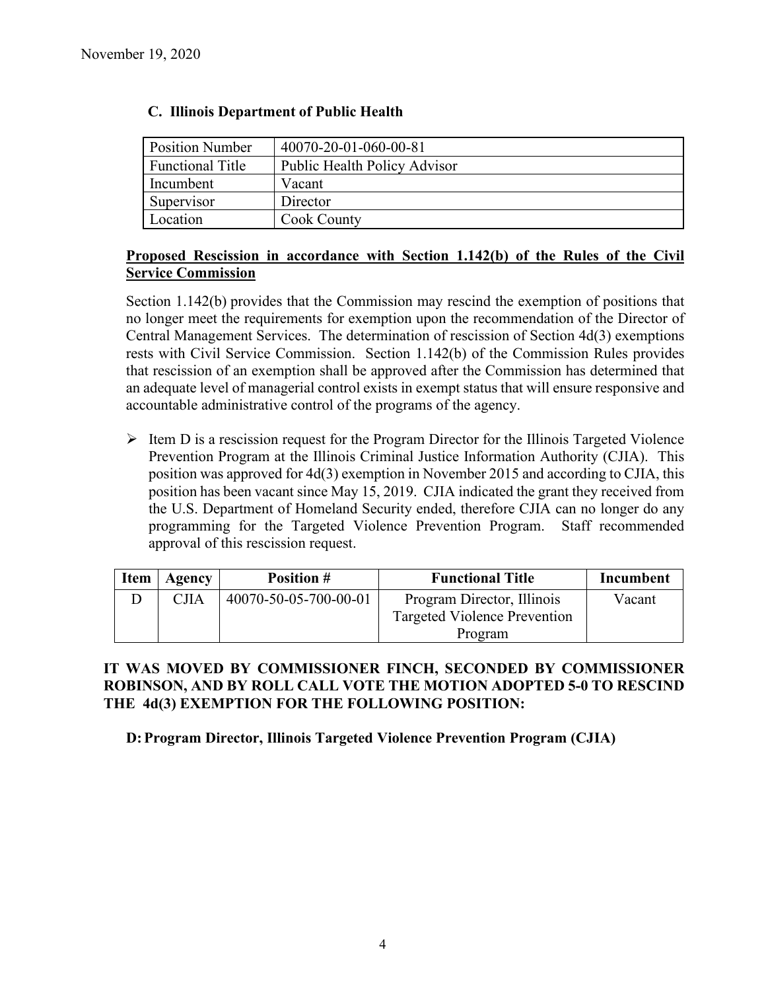| <b>Position Number</b>  | 40070-20-01-060-00-81               |
|-------------------------|-------------------------------------|
| <b>Functional Title</b> | <b>Public Health Policy Advisor</b> |
| Incumbent               | Vacant                              |
| Supervisor              | Director                            |
| Location                | Cook County                         |

# **C. Illinois Department of Public Health**

# **Proposed Rescission in accordance with Section 1.142(b) of the Rules of the Civil Service Commission**

Section 1.142(b) provides that the Commission may rescind the exemption of positions that no longer meet the requirements for exemption upon the recommendation of the Director of Central Management Services. The determination of rescission of Section 4d(3) exemptions rests with Civil Service Commission. Section 1.142(b) of the Commission Rules provides that rescission of an exemption shall be approved after the Commission has determined that an adequate level of managerial control exists in exempt status that will ensure responsive and accountable administrative control of the programs of the agency.

 $\triangleright$  Item D is a rescission request for the Program Director for the Illinois Targeted Violence Prevention Program at the Illinois Criminal Justice Information Authority (CJIA). This position was approved for 4d(3) exemption in November 2015 and according to CJIA, this position has been vacant since May 15, 2019. CJIA indicated the grant they received from the U.S. Department of Homeland Security ended, therefore CJIA can no longer do any programming for the Targeted Violence Prevention Program. Staff recommended approval of this rescission request.

| <b>Item</b> | Agency | <b>Position #</b>     | <b>Functional Title</b>             | Incumbent |
|-------------|--------|-----------------------|-------------------------------------|-----------|
|             | CJIA   | 40070-50-05-700-00-01 | Program Director, Illinois          | Vacant    |
|             |        |                       | <b>Targeted Violence Prevention</b> |           |
|             |        |                       | Program                             |           |

# **IT WAS MOVED BY COMMISSIONER FINCH, SECONDED BY COMMISSIONER ROBINSON, AND BY ROLL CALL VOTE THE MOTION ADOPTED 5-0 TO RESCIND THE 4d(3) EXEMPTION FOR THE FOLLOWING POSITION:**

# **D:Program Director, Illinois Targeted Violence Prevention Program (CJIA)**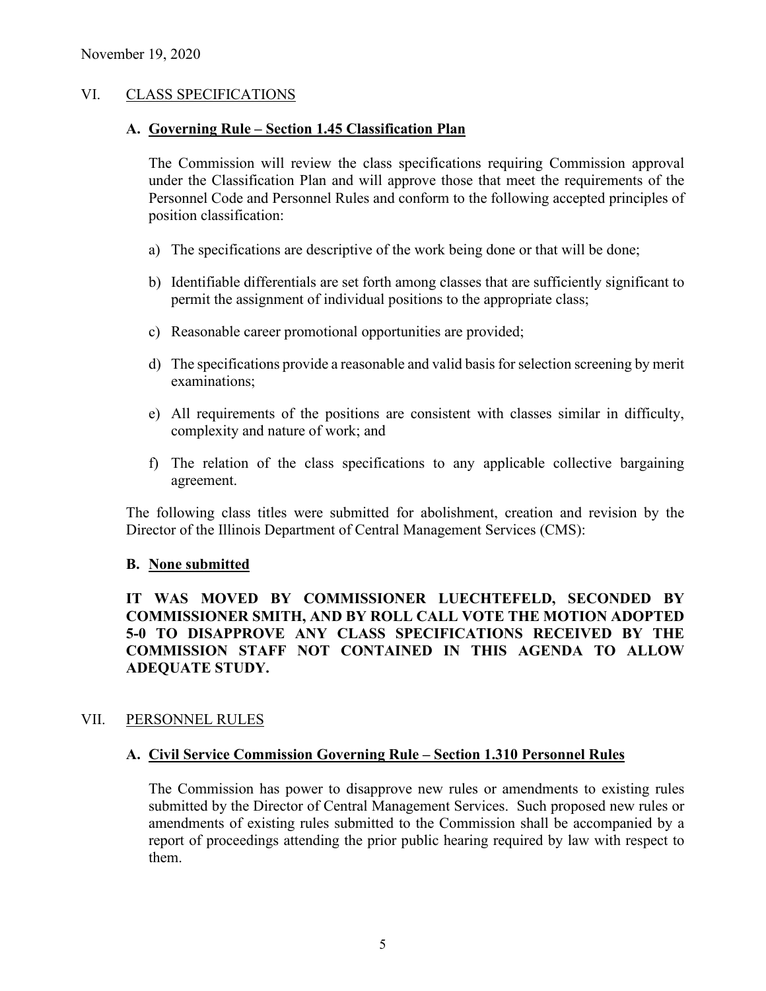## VI. CLASS SPECIFICATIONS

#### **A. Governing Rule – Section 1.45 Classification Plan**

The Commission will review the class specifications requiring Commission approval under the Classification Plan and will approve those that meet the requirements of the Personnel Code and Personnel Rules and conform to the following accepted principles of position classification:

- a) The specifications are descriptive of the work being done or that will be done;
- b) Identifiable differentials are set forth among classes that are sufficiently significant to permit the assignment of individual positions to the appropriate class;
- c) Reasonable career promotional opportunities are provided;
- d) The specifications provide a reasonable and valid basis for selection screening by merit examinations;
- e) All requirements of the positions are consistent with classes similar in difficulty, complexity and nature of work; and
- f) The relation of the class specifications to any applicable collective bargaining agreement.

The following class titles were submitted for abolishment, creation and revision by the Director of the Illinois Department of Central Management Services (CMS):

#### **B. None submitted**

# **IT WAS MOVED BY COMMISSIONER LUECHTEFELD, SECONDED BY COMMISSIONER SMITH, AND BY ROLL CALL VOTE THE MOTION ADOPTED 5-0 TO DISAPPROVE ANY CLASS SPECIFICATIONS RECEIVED BY THE COMMISSION STAFF NOT CONTAINED IN THIS AGENDA TO ALLOW ADEQUATE STUDY.**

#### VII. PERSONNEL RULES

#### **A. Civil Service Commission Governing Rule – Section 1.310 Personnel Rules**

The Commission has power to disapprove new rules or amendments to existing rules submitted by the Director of Central Management Services. Such proposed new rules or amendments of existing rules submitted to the Commission shall be accompanied by a report of proceedings attending the prior public hearing required by law with respect to them.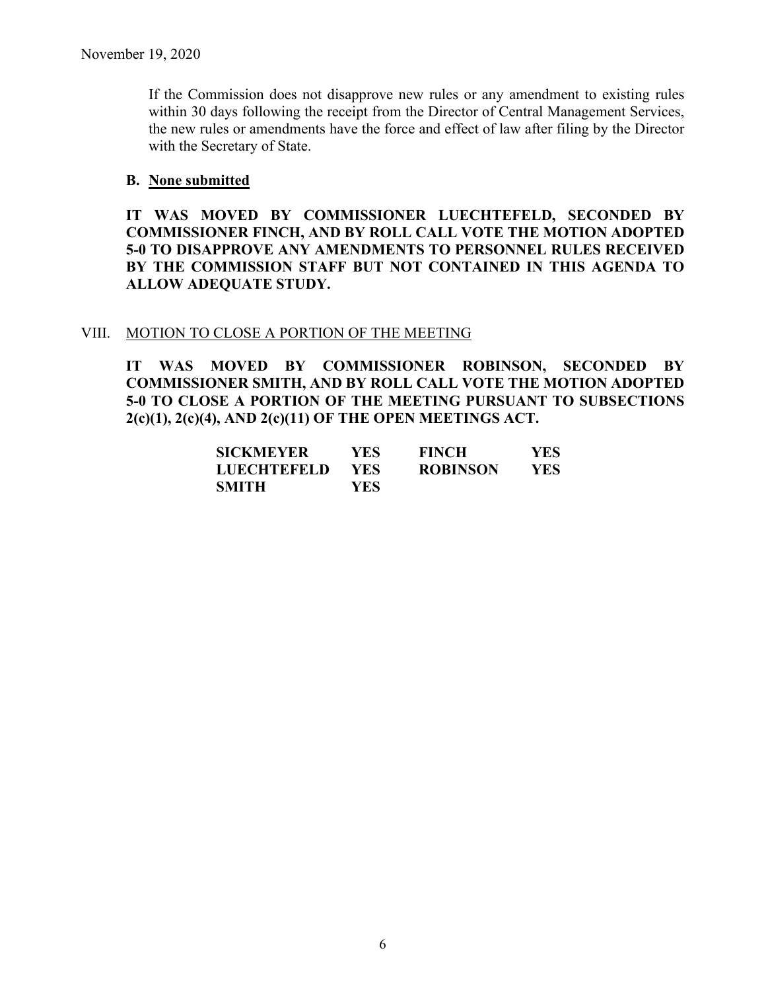If the Commission does not disapprove new rules or any amendment to existing rules within 30 days following the receipt from the Director of Central Management Services, the new rules or amendments have the force and effect of law after filing by the Director with the Secretary of State.

## **B. None submitted**

**IT WAS MOVED BY COMMISSIONER LUECHTEFELD, SECONDED BY COMMISSIONER FINCH, AND BY ROLL CALL VOTE THE MOTION ADOPTED 5-0 TO DISAPPROVE ANY AMENDMENTS TO PERSONNEL RULES RECEIVED BY THE COMMISSION STAFF BUT NOT CONTAINED IN THIS AGENDA TO ALLOW ADEQUATE STUDY.** 

#### VIII. MOTION TO CLOSE A PORTION OF THE MEETING

**IT WAS MOVED BY COMMISSIONER ROBINSON, SECONDED BY COMMISSIONER SMITH, AND BY ROLL CALL VOTE THE MOTION ADOPTED 5-0 TO CLOSE A PORTION OF THE MEETING PURSUANT TO SUBSECTIONS 2(c)(1), 2(c)(4), AND 2(c)(11) OF THE OPEN MEETINGS ACT.**

| <b>SICKMEYER</b> | YES.       | <b>FINCH</b>    | YES. |
|------------------|------------|-----------------|------|
| LUECHTEFELD      | <b>YES</b> | <b>ROBINSON</b> | YES. |
| SMITH            | YES.       |                 |      |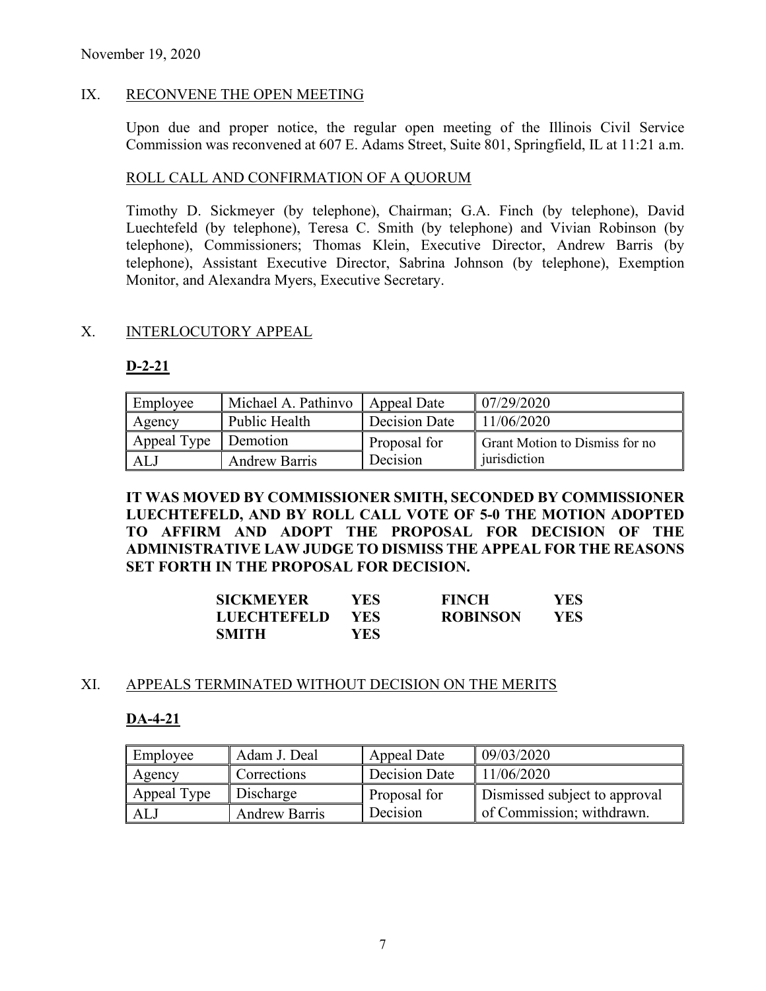## IX. RECONVENE THE OPEN MEETING

Upon due and proper notice, the regular open meeting of the Illinois Civil Service Commission was reconvened at 607 E. Adams Street, Suite 801, Springfield, IL at 11:21 a.m.

## ROLL CALL AND CONFIRMATION OF A QUORUM

Timothy D. Sickmeyer (by telephone), Chairman; G.A. Finch (by telephone), David Luechtefeld (by telephone), Teresa C. Smith (by telephone) and Vivian Robinson (by telephone), Commissioners; Thomas Klein, Executive Director, Andrew Barris (by telephone), Assistant Executive Director, Sabrina Johnson (by telephone), Exemption Monitor, and Alexandra Myers, Executive Secretary.

#### X. INTERLOCUTORY APPEAL

## **D-2-21**

| Employee             | Michael A. Pathinyo   Appeal Date |                     | 07/29/2020                            |
|----------------------|-----------------------------------|---------------------|---------------------------------------|
| Agency               | Public Health                     | Decision Date       | 11/06/2020                            |
| Appeal Type Demotion |                                   | <b>Proposal for</b> | <b>Grant Motion to Dismiss for no</b> |
| ALJ                  | <b>Andrew Barris</b>              | Decision            | jurisdiction                          |

**IT WAS MOVED BY COMMISSIONER SMITH, SECONDED BY COMMISSIONER LUECHTEFELD, AND BY ROLL CALL VOTE OF 5-0 THE MOTION ADOPTED TO AFFIRM AND ADOPT THE PROPOSAL FOR DECISION OF THE ADMINISTRATIVE LAW JUDGE TO DISMISS THE APPEAL FOR THE REASONS SET FORTH IN THE PROPOSAL FOR DECISION.**

| <b>SICKMEYER</b>   | YES. | <b>FINCH</b>    | <b>YES</b> |
|--------------------|------|-----------------|------------|
| <b>LUECHTEFELD</b> | YES. | <b>ROBINSON</b> | YES.       |
| <b>SMITH</b>       | YES- |                 |            |

#### XI. APPEALS TERMINATED WITHOUT DECISION ON THE MERITS

# **DA-4-21**

| Employee    | Adam J. Deal         | Appeal Date   | 09/03/2020                    |
|-------------|----------------------|---------------|-------------------------------|
| Agency      | Corrections          | Decision Date | 11/06/2020                    |
| Appeal Type | Discharge            | Proposal for  | Dismissed subject to approval |
| ALJ         | <b>Andrew Barris</b> | Decision      | of Commission; withdrawn.     |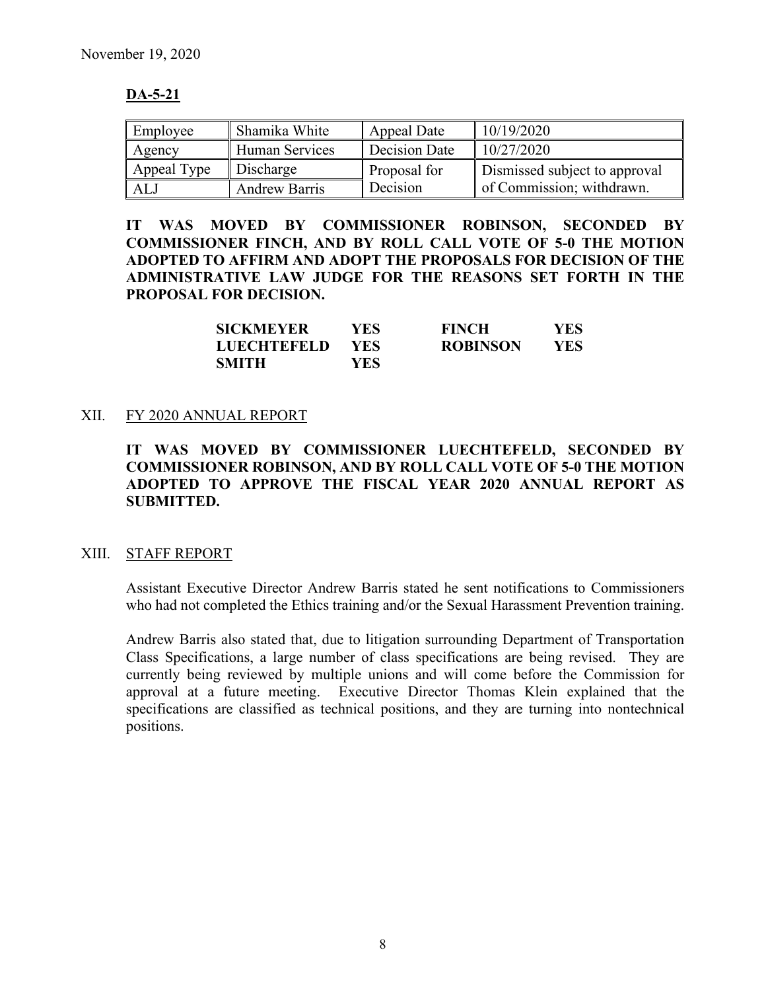# **DA-5-21**

| Employee    | Shamika White        | Appeal Date   | 10/19/2020                    |
|-------------|----------------------|---------------|-------------------------------|
| Agency      | Human Services       | Decision Date | 10/27/2020                    |
| Appeal Type | Discharge            | Proposal for  | Dismissed subject to approval |
| ALJ         | <b>Andrew Barris</b> | Decision      | of Commission; withdrawn.     |

**IT WAS MOVED BY COMMISSIONER ROBINSON, SECONDED BY COMMISSIONER FINCH, AND BY ROLL CALL VOTE OF 5-0 THE MOTION ADOPTED TO AFFIRM AND ADOPT THE PROPOSALS FOR DECISION OF THE ADMINISTRATIVE LAW JUDGE FOR THE REASONS SET FORTH IN THE PROPOSAL FOR DECISION.**

| <b>SICKMEYER</b>   | YES. | <b>FINCH</b>    | YES        |
|--------------------|------|-----------------|------------|
| <b>LUECHTEFELD</b> | YES. | <b>ROBINSON</b> | <b>YES</b> |
| <b>SMITH</b>       | YES. |                 |            |

## XII. FY 2020 ANNUAL REPORT

**IT WAS MOVED BY COMMISSIONER LUECHTEFELD, SECONDED BY COMMISSIONER ROBINSON, AND BY ROLL CALL VOTE OF 5-0 THE MOTION ADOPTED TO APPROVE THE FISCAL YEAR 2020 ANNUAL REPORT AS SUBMITTED.**

#### XIII. STAFF REPORT

Assistant Executive Director Andrew Barris stated he sent notifications to Commissioners who had not completed the Ethics training and/or the Sexual Harassment Prevention training.

Andrew Barris also stated that, due to litigation surrounding Department of Transportation Class Specifications, a large number of class specifications are being revised. They are currently being reviewed by multiple unions and will come before the Commission for approval at a future meeting. Executive Director Thomas Klein explained that the specifications are classified as technical positions, and they are turning into nontechnical positions.